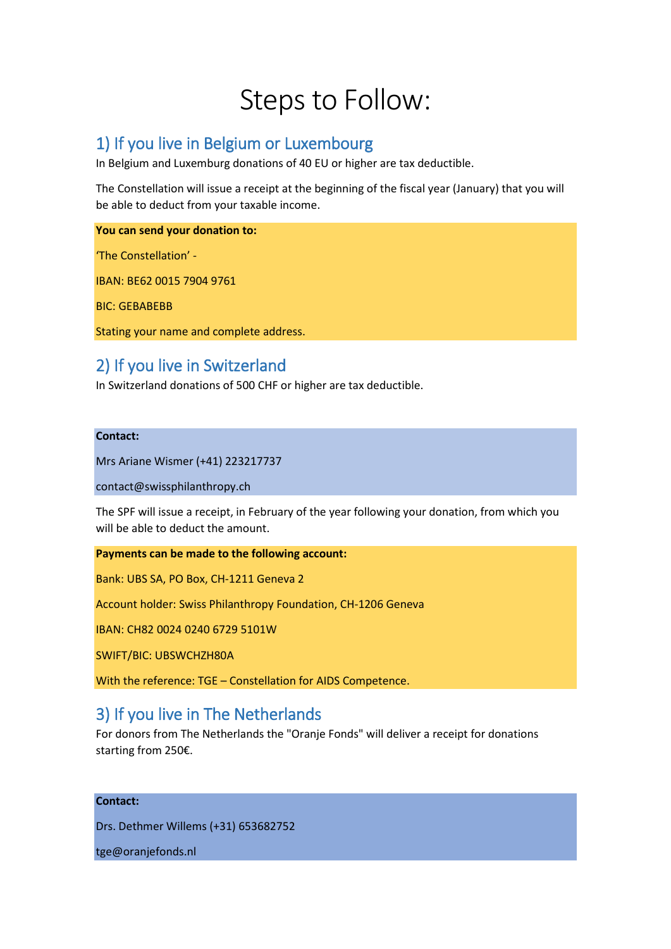# Steps to Follow:

## 1) If you live in Belgium or Luxembourg

In Belgium and Luxemburg donations of 40 EU or higher are tax deductible.

The Constellation will issue a receipt at the beginning of the fiscal year (January) that you will be able to deduct from your taxable income.

## **You can send your donation to:**

'The Constellation' -

IBAN: BE62 0015 7904 9761

BIC: GEBABEBB

Stating your name and complete address.

# 2) If you live in Switzerland

In Switzerland donations of 500 CHF or higher are tax deductible.

## **Contact:**

Mrs Ariane Wismer (+41) 223217737

contact@swissphilanthropy.ch

The SPF will issue a receipt, in February of the year following your donation, from which you will be able to deduct the amount.

## **Payments can be made to the following account:**

Bank: UBS SA, PO Box, CH-1211 Geneva 2

Account holder: Swiss Philanthropy Foundation, CH-1206 Geneva

IBAN: CH82 0024 0240 6729 5101W

SWIFT/BIC: UBSWCHZH80A

With the reference: TGE – Constellation for AIDS Competence.

## 3) If you live in The Netherlands

For donors from The Netherlands the "Oranje Fonds" will deliver a receipt for donations starting from 250€.

## **Contact:**

Drs. Dethmer Willems (+31) 653682752

tge@oranjefonds.nl